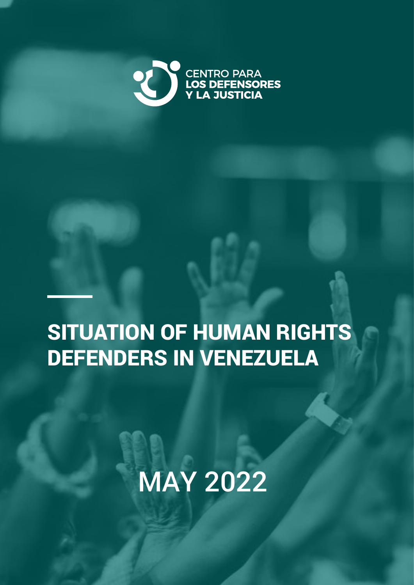

## SITUATION OF HUMAN RIGHTS DEFENDERS IN VENEZUELA

## MAY 2022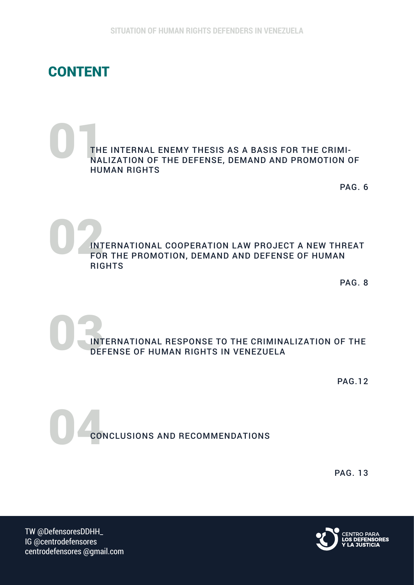### CONTENT

#### $\begin{bmatrix} 1 \\ 1 \\ 2 \\ 3 \\ 1 \end{bmatrix}$ THE INTERNAL ENEMY THESIS AS A BASIS FOR THE CRIMI-NALIZATION OF THE DEFENSE, DEMAND AND PROMOTION OF HUMAN RIGHTS

PAG. 6

D<br>ENT INTERNATIONAL COOPERATION LAW PROJECT A NEW THREAT FOR THE PROMOTION, DEMAND AND DEFENSE OF HUMAN RIGHTS

PAG. 8

 $\frac{1}{\sqrt{N}}$ INTERNATIONAL RESPONSE TO THE CRIMINALIZATION OF THE DEFENSE OF HUMAN RIGHTS IN VENEZUELA

PAG.12

04 CONCLUSIONS AND RECOMMENDATIONS

PAG. 13

TW @DefensoresDDHH\_ IG @centrodefensores centrodefensores @gmail.com

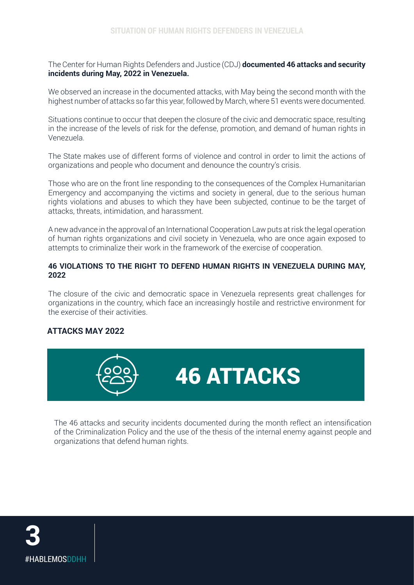The Center for Human Rights Defenders and Justice (CDJ) **documented 46 attacks and security incidents during May, 2022 in Venezuela.**

We observed an increase in the documented attacks, with May being the second month with the highest number of attacks so far this year, followed by March, where 51 events were documented.

Situations continue to occur that deepen the closure of the civic and democratic space, resulting in the increase of the levels of risk for the defense, promotion, and demand of human rights in Venezuela.

The State makes use of different forms of violence and control in order to limit the actions of organizations and people who document and denounce the country's crisis.

Those who are on the front line responding to the consequences of the Complex Humanitarian Emergency and accompanying the victims and society in general, due to the serious human rights violations and abuses to which they have been subjected, continue to be the target of attacks, threats, intimidation, and harassment.

A new advance in the approval of an International Cooperation Law puts at risk the legal operation of human rights organizations and civil society in Venezuela, who are once again exposed to attempts to criminalize their work in the framework of the exercise of cooperation.

#### **46 VIOLATIONS TO THE RIGHT TO DEFEND HUMAN RIGHTS IN VENEZUELA DURING MAY, 2022**

The closure of the civic and democratic space in Venezuela represents great challenges for organizations in the country, which face an increasingly hostile and restrictive environment for the exercise of their activities.

#### **ATTACKS MAY 2022**



The 46 attacks and security incidents documented during the month reflect an intensification of the Criminalization Policy and the use of the thesis of the internal enemy against people and organizations that defend human rights.

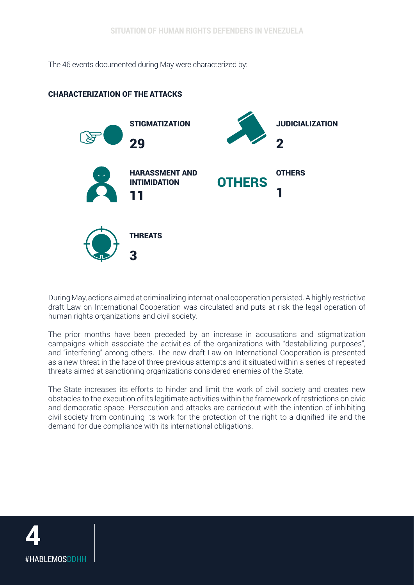The 46 events documented during May were characterized by:

#### CHARACTERIZATION OF THE ATTACKS



During May, actions aimed at criminalizing international cooperation persisted. A highly restrictive draft Law on International Cooperation was circulated and puts at risk the legal operation of human rights organizations and civil society.

The prior months have been preceded by an increase in accusations and stigmatization campaigns which associate the activities of the organizations with "destabilizing purposes", and "interfering" among others. The new draft Law on International Cooperation is presented as a new threat in the face of three previous attempts and it situated within a series of repeated threats aimed at sanctioning organizations considered enemies of the State.

The State increases its efforts to hinder and limit the work of civil society and creates new obstacles to the execution of its legitimate activities within the framework of restrictions on civic and democratic space. Persecution and attacks are carriedout with the intention of inhibiting civil society from continuing its work for the protection of the right to a dignified life and the demand for due compliance with its international obligations.

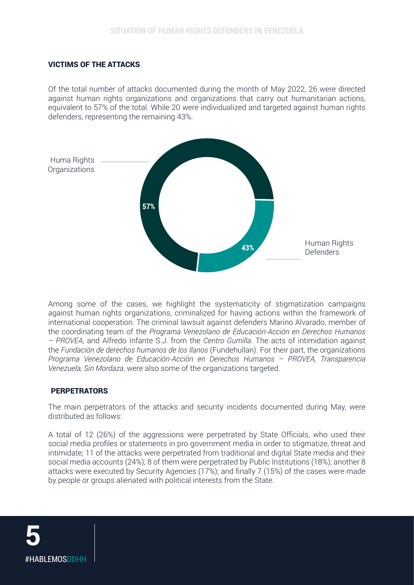#### VICTIMS OF THE ATTACKS

Of the total number of attacks documented during the month of May 2022, 26 were directed against human rights organizations and organizations that carry out humanitarian actions, equivalent to 57% of the total. While 20 were individualized and targeted against human rights defenders, representing the remaining 43%.



Among some of the cases, we highlight the systematicity of stigmatization campaigns against human rights organizations, criminalized for having actions within the framework of international cooperation. The criminal lawsuit against defenders Marino Alvarado, member of the coordinating team of the *Programa Venezolano de Educación-Acción en Derechos Humanos – PROVEA*, and Alfredo Infante S.J. from the *Centro Gumilla*. The acts of intimidation against the *Fundación de derechos humanos de los llanos* (Fundehullan). For their part, the organizations *Programa Venezolano de Educación-Acción en Derechos Humanos – PROVEA, Transparencia Venezuela, Sin Mordaza*, were also some of the organizations targeted.

#### **PERPETRATORS**

The main perpetrators of the attacks and security incidents documented during May, were distributed as follows:

A total of 12 (26%) of the aggressions were perpetrated by State Officials, who used their social media profiles or statements in pro government media in order to stigmatize, threat and intimidate; 11 of the attacks were perpetrated from traditional and digital State media and their social media accounts (24%); 8 of them were perpetrated by Public Institutions (18%); another 8 attacks were executed by Security Agencies (17%); and finally 7 (15%) of the cases were made by people or groups alienated with political interests from the State.

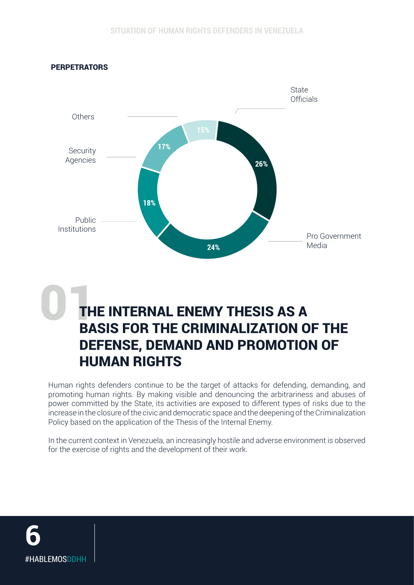



## BASIS FOR THE CRIMINALIZATION OF THE DEFENSE, DEMAND AND PROMOTION OF HUMAN RIGHTS

Human rights defenders continue to be the target of attacks for defending, demanding, and promoting human rights. By making visible and denouncing the arbitrariness and abuses of power committed by the State, its activities are exposed to different types of risks due to the increase in the closure of the civic and democratic space and the deepening of the Criminalization Policy based on the application of the Thesis of the Internal Enemy.

In the current context in Venezuela, an increasingly hostile and adverse environment is observed for the exercise of rights and the development of their work.

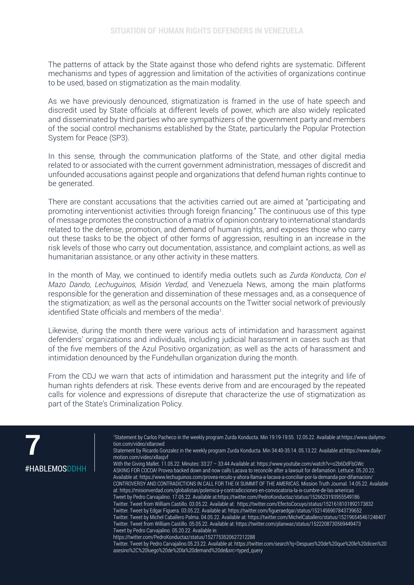The patterns of attack by the State against those who defend rights are systematic. Different mechanisms and types of aggression and limitation of the activities of organizations continue to be used, based on stigmatization as the main modality.

As we have previously denounced, stigmatization is framed in the use of hate speech and discredit used by State officials at different levels of power, which are also widely replicated and disseminated by third parties who are sympathizers of the government party and members of the social control mechanisms established by the State, particularly the Popular Protection System for Peace (SP3).

In this sense, through the communication platforms of the State, and other digital media related to or associated with the current government administration, messages of discredit and unfounded accusations against people and organizations that defend human rights continue to be generated.

There are constant accusations that the activities carried out are aimed at "participating and promoting interventionist activities through foreign financing." The continuous use of this type of message promotes the construction of a matrix of opinion contrary to international standards related to the defense, promotion, and demand of human rights, and exposes those who carry out these tasks to be the object of other forms of aggression, resulting in an increase in the risk levels of those who carry out documentation, assistance, and complaint actions, as well as humanitarian assistance, or any other activity in these matters.

In the month of May, we continued to identify media outlets such as *Zurda Konducta, Con el Mazo Dando, Lechuguinos, Misión Verdad*, and Venezuela News, among the main platforms responsible for the generation and dissemination of these messages and, as a consequence of the stigmatization; as well as the personal accounts on the Twitter social network of previously identified State officials and members of the media<sup>1</sup>.

Likewise, during the month there were various acts of intimidation and harassment against defenders' organizations and individuals, including judicial harassment in cases such as that of the five members of the Azul Positivo organization; as well as the acts of harassment and intimidation denounced by the Fundehullan organization during the month.

From the CDJ we warn that acts of intimidation and harassment put the integrity and life of human rights defenders at risk. These events derive from and are encouraged by the repeated calls for violence and expressions of disrepute that characterize the use of stigmatization as part of the State's Criminalization Policy.



1 Statement by Carlos Pacheco in the weekly program Zurda Konducta. Min 19:19-19:55. 12.05.22. Available at:https://www.dailymotion.com/video/x8arowd

Statement by Ricardo Gonzalez in the weekly program Zurda Konducta. Min 34:40-35:14. 05.13.22. Available at:https://www.dailymotion.com/video/x8asjvf

With the Giving Mallet. 11.05.22. Minutes: 33:27 – 33:44 Available at: https://www.youtube.com/watch?v=o2b6DdFbGWc ASKING FOR COCOA! Provea backed down and now calls Lacava to reconcile after a lawsuit for defamation. Lettuce. 05.20.22. Available at: https://www.lechuguinos.com/provea-reculo-y-ahora-llama-a-lacava-a-conciliar-por-la-demanda-por-difamacion/ CONTROVERSY AND CONTRADICTIONS IN CALL FOR THE IX SUMMIT OF THE AMERICAS. Mission Truth Journal. 14.05.22. Available at: https://misionverdad.com/globalistan/polemica-y-contradicciones-en-convocatoria-la-ix-cumbre-de-las-americas Tweet by Pedro Carvajalino. 17.05.22. Available at:https://twitter.com/PedroKonductaz/status/1526623193955549186 Twitter. Tweet from William Castillo. 03.05.22. Available at: https://twitter.com/EfectoCocuyo/status/1521618101892173832 Twitter. Tweet by Edgar Figuera. 03.05.22. Available at: https://twitter.com/figueraedgar/status/1521456907843739652 Twitter. Tweet by Michel Caballero Palma. 04.05.22. Available at: https://twitter.com/MichelCaballero/status/152196545461248407 Twitter. Tweet from William Castillo. 05.05.22. Available at: https://twitter.com/planwac/status/1522208730569449473 Tweet by Pedro Carvajalino. 05.20.22. Available in:

https://twitter.com/PedroKonductaz/status/1527753520627212288

Twitter. Tweet by Pedro Carvajalino.05.23.22. Available at: https://twitter.com/search?q=Despues%20de%20que%20le%20dicen%20 asesino%2C%20luego%20de%20la%20demand%20de&src=typed\_query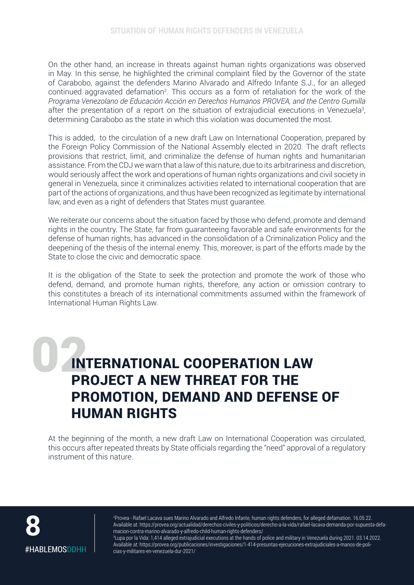On the other hand, an increase in threats against human rights organizations was observed in May. In this sense, he highlighted the criminal complaint filed by the Governor of the state of Carabobo, against the defenders Marino Alvarado and Alfredo Infante S.J., for an alleged continued aggravated defamation<sup>2</sup>. This occurs as a form of retaliation for the work of the *Programa Venezolano de Educación Acción en Derechos Humanos PROVEA, and the Centro Gumilla* after the presentation of a report on the situation of extrajudicial executions in Venezuela<sup>3</sup>, determining Carabobo as the state in which this violation was documented the most.

This is added, to the circulation of a new draft Law on International Cooperation, prepared by the Foreign Policy Commission of the National Assembly elected in 2020. The draft reflects provisions that restrict, limit, and criminalize the defense of human rights and humanitarian assistance. From the CDJ we warn that a law of this nature, due to its arbitrariness and discretion, would seriously affect the work and operations of human rights organizations and civil society in general in Venezuela, since it criminalizes activities related to international cooperation that are part of the actions of organizations, and thus have been recognized as legitimate by international law, and even as a right of defenders that States must guarantee.

We reiterate our concerns about the situation faced by those who defend, promote and demand rights in the country. The State, far from guaranteeing favorable and safe environments for the defense of human rights, has advanced in the consolidation of a Criminalization Policy and the deepening of the thesis of the internal enemy. This, moreover, is part of the efforts made by the State to close the civic and democratic space.

It is the obligation of the State to seek the protection and promote the work of those who defend, demand, and promote human rights, therefore, any action or omission contrary to this constitutes a breach of its international commitments assumed within the framework of International Human Rights Law.

## INTERNATIONAL COOPERATION LAW PROJECT A NEW THREAT FOR THE PROMOTION, DEMAND AND DEFENSE OF HUMAN RIGHTS

At the beginning of the month, a new draft Law on International Cooperation was circulated, this occurs after repeated threats by State officials regarding the "need" approval of a regulatory instrument of this nature.



2 Provea - Rafael Lacava sues Marino Alvarado and Alfredo Infante, human rights defenders, for alleged defamation. 16.05.22. Available at: https://provea.org/actualidad/derechos-civiles-y-politicos/derecho-a-la-vida/rafael-lacava-demanda-por-supuesta-defamacion-contra-marino-alvarado-y-alfredo-child-human-rights-defenders/

3 Lupa por la Vida: 1,414 alleged extrajudicial executions at the hands of police and military in Venezuela during 2021. 03.14.2022. Available at: https://provea.org/publicaciones/investigaciones/1-414-presuntas-ejecuciones-extrajudiciales-a-manos-de-policias-y-militares-en-venezuela-dur-2021/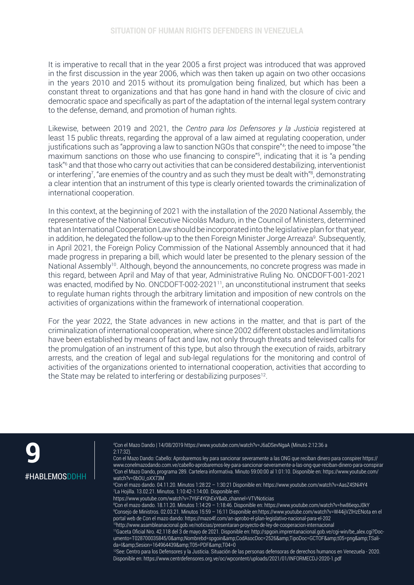It is imperative to recall that in the year 2005 a first project was introduced that was approved in the first discussion in the year 2006, which was then taken up again on two other occasions in the years 2010 and 2015 without its promulgation being finalized, but which has been a constant threat to organizations and that has gone hand in hand with the closure of civic and democratic space and specifically as part of the adaptation of the internal legal system contrary to the defense, demand, and promotion of human rights.

Likewise, between 2019 and 2021, the *Centro para los Defensores y la Justicia* registered at least 15 public threats, regarding the approval of a law aimed at regulating cooperation, under justifications such as "approving a law to sanction NGOs that conspire"<sup>4</sup> ; the need to impose "the maximum sanctions on those who use financing to conspire"<sup>5</sup> , indicating that it is "a pending task"6 and that those who carry out activities that can be considered destabilizing, interventionist or interfering<sup>7</sup>, "are enemies of the country and as such they must be dealt with"<sup>8</sup>, demonstrating a clear intention that an instrument of this type is clearly oriented towards the criminalization of international cooperation.

In this context, at the beginning of 2021 with the installation of the 2020 National Assembly, the representative of the National Executive Nicolás Maduro, in the Council of Ministers, determined that an International Cooperation Law should be incorporated into the legislative plan for that year, in addition, he delegated the follow-up to the then Foreign Minister Jorge Arreaza<sup>9</sup>. Subsequently, in April 2021, the Foreign Policy Commission of the National Assembly announced that it had made progress in preparing a bill, which would later be presented to the plenary session of the National Assembly<sup>10</sup>. Although, beyond the announcements, no concrete progress was made in this regard, between April and May of that year, Administrative Ruling No. ONCDOFT-001-2021 was enacted, modified by No. ONCDOFT-002-2021<sup>11</sup>, an unconstitutional instrument that seeks to regulate human rights through the arbitrary limitation and imposition of new controls on the activities of organizations within the framework of international cooperation.

For the year 2022, the State advances in new actions in the matter, and that is part of the criminalization of international cooperation, where since 2002 different obstacles and limitations have been established by means of fact and law, not only through threats and televised calls for the promulgation of an instrument of this type, but also through the execution of raids, arbitrary arrests, and the creation of legal and sub-legal regulations for the monitoring and control of activities of the organizations oriented to international cooperation, activities that according to the State may be related to interfering or destabilizing purposes $12$ .

**9** #HABLEMOSDDHH 4 Con el Mazo Dando | 14/08/2019 https://www.youtube.com/watch?v=J6aDSevNgaA (Minuto 2:12:36 a 2:17:32).

Con el Mazo Dando: Cabello: Aprobaremos ley para sancionar severamente a las ONG que reciban dinero para conspirer https:// www.conelmazodando.com.ve/cabello-aprobaremos-ley-para-sancionar-severamente-a-las-ong-que-reciban-dinero-para-conspirar 5 Con el Mazo Dando, programa 289. Cartelera informativa. Minuto 59:00:00 al 1:01:10. Disponible en: https://www.youtube.com/ watch?v=0bOU\_oXX73M

6 Con el mazo dando. 04.11.20. Minutos 1:28:22 – 1:30:21 Disponible en: https://www.youtube.com/watch?v=AasZ4SNi4Y4 7 La Hojilla. 13.02.21. Minutos. 1:10:42-1:14:00. Disponible en:

https://www.youtube.com/watch?v=7Y6F4YQhExY&ab\_channel=VTVNoticias

8 Con el mazo dando. 18.11.20. Minutos 1:14:29 – 1:18:46. Disponible en: https://www.youtube.com/watch?v=hw86eqoJ0kY 9 Consejo de Ministros. 02.03.21. Minutos 15:59 – 16:11 Disponible en:https://www.youtube.com/watch?v=W44ijVZlHzENota en el portal web de Con el mazo dando: https://mazo4f.com/an-aprobo-el-plan-legislativo-nacional-para-el-202

10http://www.asambleanacional.gob.ve/noticias/presentaran-proyecto-de-ley-de-cooperacion-internacional

11Gaceta Oficial Nro. 42.118 del 3 de mayo de 2021. Disponible en: http://spgoin.imprentanacional.gob.ve/cgi-win/be\_alex.cgi?Documento=T028700035845/0&amp:Nombrebd=spgoin&amp:CodAsocDoc=2526&amp:TipoDoc=GCTOF&amp:t05=png&amp:TSalida=I&Sesion=164964439&T05=PDF&T04=0

<sup>12</sup>See: Centro para los Defensores y la Justicia. Situación de las personas defensoras de derechos humanos en Venezuela - 2020. Disponible en: https://www.centrdefensores.org.ve/oc/wpcontent/uploads/2021/01/INFORMECDJ-2020-1.pdf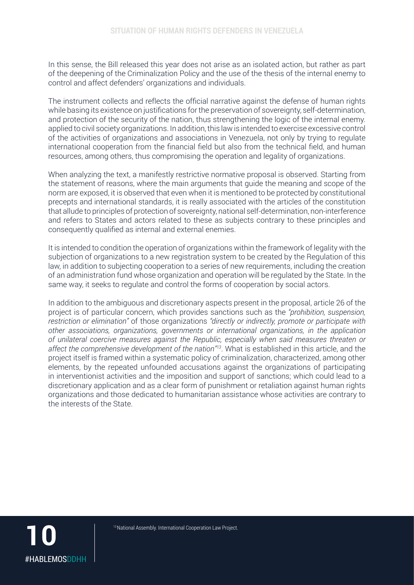In this sense, the Bill released this year does not arise as an isolated action, but rather as part of the deepening of the Criminalization Policy and the use of the thesis of the internal enemy to control and affect defenders' organizations and individuals.

The instrument collects and reflects the official narrative against the defense of human rights while basing its existence on justifications for the preservation of sovereignty, self-determination, and protection of the security of the nation, thus strengthening the logic of the internal enemy. applied to civil society organizations. In addition, this law is intended to exercise excessive control of the activities of organizations and associations in Venezuela, not only by trying to regulate international cooperation from the financial field but also from the technical field, and human resources, among others, thus compromising the operation and legality of organizations.

When analyzing the text, a manifestly restrictive normative proposal is observed. Starting from the statement of reasons, where the main arguments that guide the meaning and scope of the norm are exposed, it is observed that even when it is mentioned to be protected by constitutional precepts and international standards, it is really associated with the articles of the constitution that allude to principles of protection of sovereignty, national self-determination, non-interference and refers to States and actors related to these as subjects contrary to these principles and consequently qualified as internal and external enemies.

It is intended to condition the operation of organizations within the framework of legality with the subjection of organizations to a new registration system to be created by the Regulation of this law, in addition to subjecting cooperation to a series of new requirements, including the creation of an administration fund whose organization and operation will be regulated by the State. In the same way, it seeks to regulate and control the forms of cooperation by social actors.

In addition to the ambiguous and discretionary aspects present in the proposal, article 26 of the project is of particular concern, which provides sanctions such as the *"prohibition, suspension, restriction or elimination"* of those organizations *"directly or indirectly, promote or participate with other associations, organizations, governments or international organizations, in the application of unilateral coercive measures against the Republic, especially when said measures threaten or affect the comprehensive development of the nation"13*. What is established in this article, and the project itself is framed within a systematic policy of criminalization, characterized, among other elements, by the repeated unfounded accusations against the organizations of participating in interventionist activities and the imposition and support of sanctions; which could lead to a discretionary application and as a clear form of punishment or retaliation against human rights organizations and those dedicated to humanitarian assistance whose activities are contrary to the interests of the State.

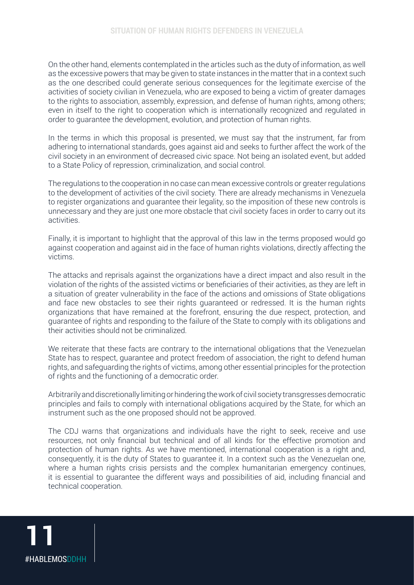On the other hand, elements contemplated in the articles such as the duty of information, as well as the excessive powers that may be given to state instances in the matter that in a context such as the one described could generate serious consequences for the legitimate exercise of the activities of society civilian in Venezuela, who are exposed to being a victim of greater damages to the rights to association, assembly, expression, and defense of human rights, among others; even in itself to the right to cooperation which is internationally recognized and regulated in order to guarantee the development, evolution, and protection of human rights.

In the terms in which this proposal is presented, we must say that the instrument, far from adhering to international standards, goes against aid and seeks to further affect the work of the civil society in an environment of decreased civic space. Not being an isolated event, but added to a State Policy of repression, criminalization, and social control.

The regulations to the cooperation in no case can mean excessive controls or greater regulations to the development of activities of the civil society. There are already mechanisms in Venezuela to register organizations and guarantee their legality, so the imposition of these new controls is unnecessary and they are just one more obstacle that civil society faces in order to carry out its activities.

Finally, it is important to highlight that the approval of this law in the terms proposed would go against cooperation and against aid in the face of human rights violations, directly affecting the victims.

The attacks and reprisals against the organizations have a direct impact and also result in the violation of the rights of the assisted victims or beneficiaries of their activities, as they are left in a situation of greater vulnerability in the face of the actions and omissions of State obligations and face new obstacles to see their rights guaranteed or redressed. It is the human rights organizations that have remained at the forefront, ensuring the due respect, protection, and guarantee of rights and responding to the failure of the State to comply with its obligations and their activities should not be criminalized.

We reiterate that these facts are contrary to the international obligations that the Venezuelan State has to respect, guarantee and protect freedom of association, the right to defend human rights, and safeguarding the rights of victims, among other essential principles for the protection of rights and the functioning of a democratic order.

Arbitrarily and discretionally limiting or hindering the work of civil society transgresses democratic principles and fails to comply with international obligations acquired by the State, for which an instrument such as the one proposed should not be approved.

The CDJ warns that organizations and individuals have the right to seek, receive and use resources, not only financial but technical and of all kinds for the effective promotion and protection of human rights. As we have mentioned, international cooperation is a right and, consequently, it is the duty of States to guarantee it. In a context such as the Venezuelan one, where a human rights crisis persists and the complex humanitarian emergency continues. it is essential to guarantee the different ways and possibilities of aid, including financial and technical cooperation.

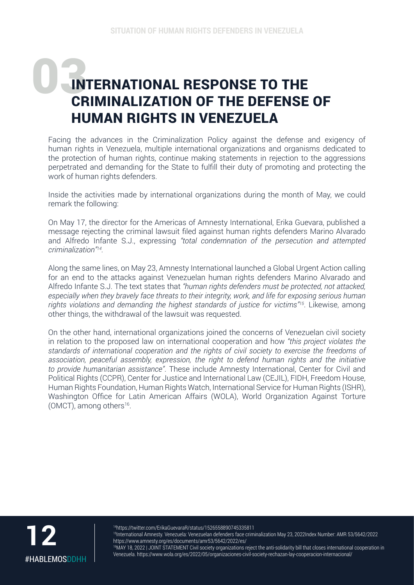## INTERNATIONAL RESPONSE TO THE CRIMINALIZATION OF THE DEFENSE OF HUMAN RIGHTS IN VENEZUELA

Facing the advances in the Criminalization Policy against the defense and exigency of human rights in Venezuela, multiple international organizations and organisms dedicated to the protection of human rights, continue making statements in rejection to the aggressions perpetrated and demanding for the State to fulfill their duty of promoting and protecting the work of human rights defenders.

Inside the activities made by international organizations during the month of May, we could remark the following:

On May 17, the director for the Americas of Amnesty International, Erika Guevara, published a message rejecting the criminal lawsuit filed against human rights defenders Marino Alvarado and Alfredo Infante S.J., expressing *"total condemnation of the persecution and attempted criminalization"14.*

Along the same lines, on May 23, Amnesty International launched a Global Urgent Action calling for an end to the attacks against Venezuelan human rights defenders Marino Alvarado and Alfredo Infante S.J. The text states that *"human rights defenders must be protected, not attacked, especially when they bravely face threats to their integrity, work, and life for exposing serious human rights violations and demanding the highest standards of justice for victims"15*. Likewise, among other things, the withdrawal of the lawsuit was requested.

On the other hand, international organizations joined the concerns of Venezuelan civil society in relation to the proposed law on international cooperation and how *"this project violates the standards of international cooperation and the rights of civil society to exercise the freedoms of association, peaceful assembly, expression, the right to defend human rights and the initiative to provide humanitarian assistance"*. These include Amnesty International, Center for Civil and Political Rights (CCPR), Center for Justice and International Law (CEJIL), FIDH, Freedom House, Human Rights Foundation, Human Rights Watch, International Service for Human Rights (ISHR), Washington Office for Latin American Affairs (WOLA), World Organization Against Torture (OMCT), among others $16$ .



14https://twitter.com/ErikaGuevaraR/status/1526558890745335811

<sup>15</sup>International Amnesty. Venezuela: Venezuelan defenders face criminalization May 23, 2022Index Number: AMR 53/5642/2022 https://www.amnesty.org/es/documents/amr53/5642/2022/es/

<sup>16</sup>MAY 18, 2022 | JOINT STATEMENT Civil society organizations reject the anti-solidarity bill that closes international cooperation in Venezuela. https://www.wola.org/es/2022/05/organizaciones-civil-society-rechazan-lay-cooperacion-internacional/